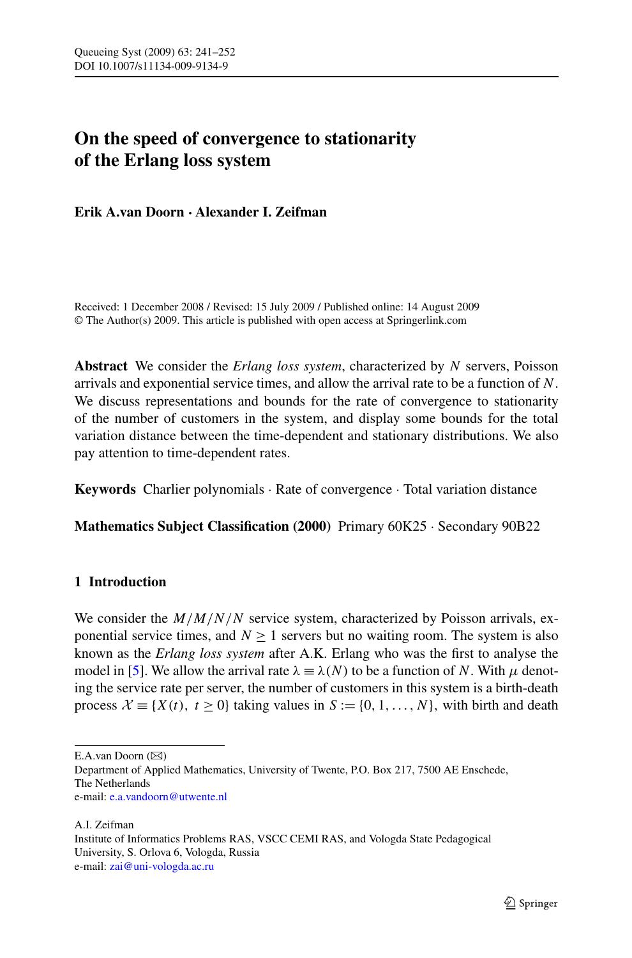# **On the speed of convergence to stationarity of the Erlang loss system**

**Erik A.van Doorn · Alexander I. Zeifman**

Received: 1 December 2008 / Revised: 15 July 2009 / Published online: 14 August 2009 © The Author(s) 2009. This article is published with open access at Springerlink.com

**Abstract** We consider the *Erlang loss system*, characterized by *N* servers, Poisson arrivals and exponential service times, and allow the arrival rate to be a function of *N*. We discuss representations and bounds for the rate of convergence to stationarity of the number of customers in the system, and display some bounds for the total variation distance between the time-dependent and stationary distributions. We also pay attention to time-dependent rates.

**Keywords** Charlier polynomials · Rate of convergence · Total variation distance

**Mathematics Subject Classification (2000)** Primary 60K25 · Secondary 90B22

# **1 Introduction**

We consider the  $M/M/N/N$  service system, characterized by Poisson arrivals, exponential service times, and  $N \ge 1$  servers but no waiting room. The system is also known as the *Erlang loss system* after A.K. Erlang who was the first to analyse the model in [\[5](#page-11-0)]. We allow the arrival rate  $\lambda = \lambda(N)$  to be a function of *N*. With  $\mu$  denoting the service rate per server, the number of customers in this system is a birth-death process  $\mathcal{X} \equiv \{X(t), t > 0\}$  taking values in  $S := \{0, 1, \ldots, N\}$ , with birth and death

 $E.A.van Doorn (\boxtimes)$ 

Department of Applied Mathematics, University of Twente, P.O. Box 217, 7500 AE Enschede, The Netherlands

e-mail: [e.a.vandoorn@utwente.nl](mailto:e.a.vandoorn@utwente.nl)

A.I. Zeifman Institute of Informatics Problems RAS, VSCC CEMI RAS, and Vologda State Pedagogical University, S. Orlova 6, Vologda, Russia e-mail: [zai@uni-vologda.ac.ru](mailto:zai@uni-vologda.ac.ru)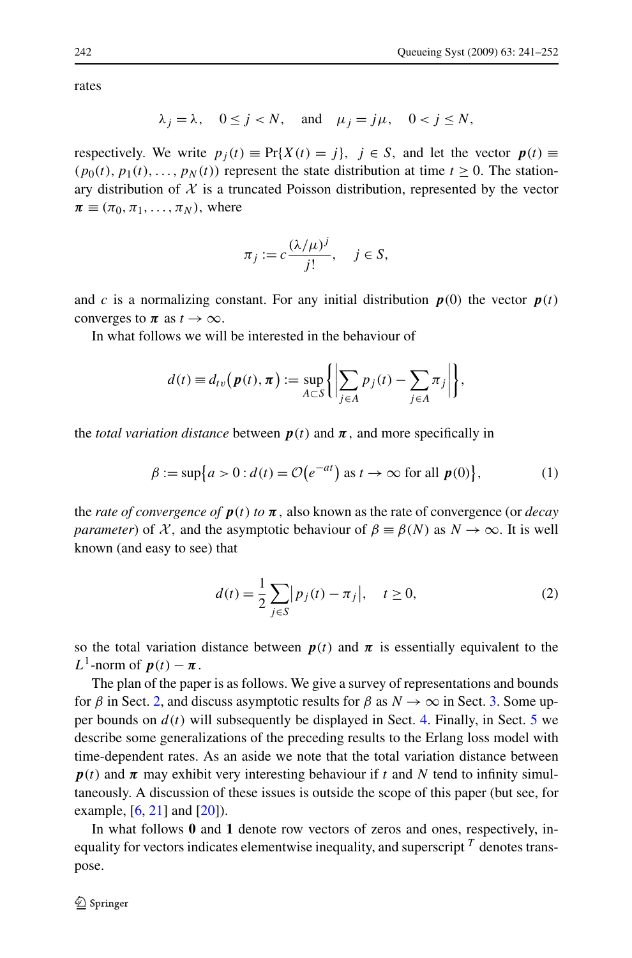<span id="page-1-0"></span>rates

$$
\lambda_j = \lambda, \quad 0 \le j < N, \quad \text{and} \quad \mu_j = j\mu, \quad 0 < j \le N,
$$

respectively. We write  $p_i(t) \equiv Pr\{X(t) = i\}$ ,  $j \in S$ , and let the vector  $p(t) \equiv$  $(p_0(t), p_1(t), \ldots, p_N(t))$  represent the state distribution at time  $t \ge 0$ . The stationary distribution of  $X$  is a truncated Poisson distribution, represented by the vector  $\pi \equiv (\pi_0, \pi_1, \ldots, \pi_N)$ , where

$$
\pi_j := c \frac{(\lambda/\mu)^j}{j!}, \quad j \in S,
$$

and *c* is a normalizing constant. For any initial distribution  $p(0)$  the vector  $p(t)$ converges to  $\pi$  as  $t \to \infty$ .

In what follows we will be interested in the behaviour of

$$
d(t) \equiv d_{tv}(\boldsymbol{p}(t), \boldsymbol{\pi}) := \sup_{A \subset S} \left\{ \left| \sum_{j \in A} p_j(t) - \sum_{j \in A} \pi_j \right| \right\},\,
$$

the *total variation distance* between  $p(t)$  and  $\pi$ , and more specifically in

$$
\beta := \sup\{a > 0 : d(t) = \mathcal{O}\left(e^{-at}\right) \text{ as } t \to \infty \text{ for all } p(0)\},\tag{1}
$$

the *rate of convergence of*  $p(t)$  *to*  $\pi$ , also known as the rate of convergence (or *decay parameter*) of X, and the asymptotic behaviour of  $\beta \equiv \beta(N)$  as  $N \to \infty$ . It is well known (and easy to see) that

$$
d(t) = \frac{1}{2} \sum_{j \in S} |p_j(t) - \pi_j|, \quad t \ge 0,
$$
 (2)

so the total variation distance between  $p(t)$  and  $\pi$  is essentially equivalent to the *L*<sup>1</sup>-norm of  $p(t) - \pi$ .

The plan of the paper is as follows. We give a survey of representations and bounds for  $\beta$  in Sect. [2,](#page-2-0) and discuss asymptotic results for  $\beta$  as  $N \to \infty$  in Sect. [3](#page-7-0). Some upper bounds on  $d(t)$  will subsequently be displayed in Sect. [4](#page-8-0). Finally, in Sect. [5](#page-9-0) we describe some generalizations of the preceding results to the Erlang loss model with time-dependent rates. As an aside we note that the total variation distance between  $p(t)$  and  $\pi$  may exhibit very interesting behaviour if  $t$  and  $N$  tend to infinity simultaneously. A discussion of these issues is outside the scope of this paper (but see, for example,  $[6, 21]$  $[6, 21]$  $[6, 21]$  $[6, 21]$  and  $[20]$  $[20]$ ).

In what follows **0** and **1** denote row vectors of zeros and ones, respectively, inequality for vectors indicates elementwise inequality, and superscript *<sup>T</sup>* denotes transpose.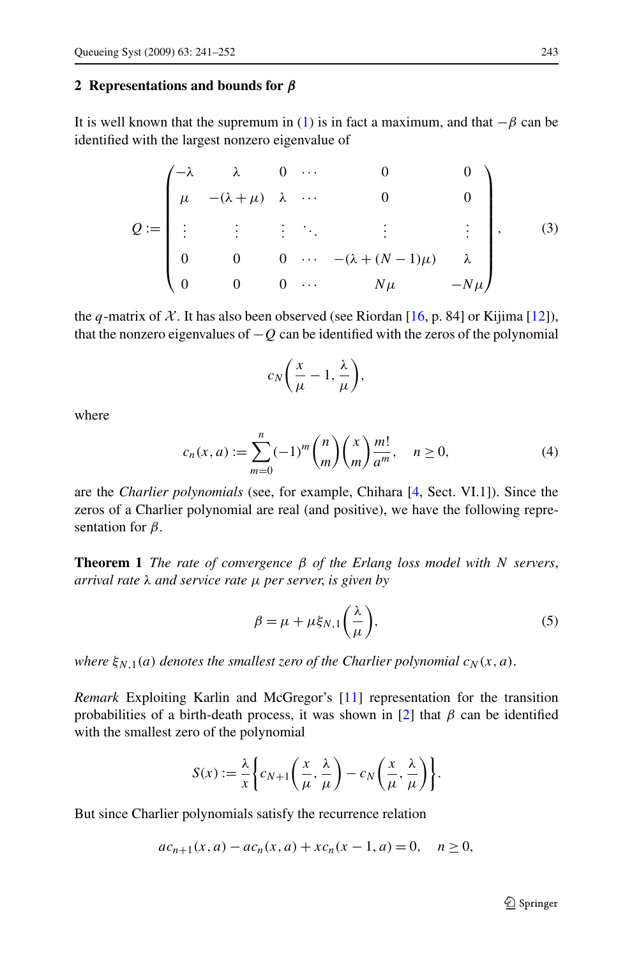## <span id="page-2-0"></span>**2 Representations and bounds for** *β*

It is well known that the supremum in [\(1](#page-1-0)) is in fact a maximum, and that  $-\beta$  can be identified with the largest nonzero eigenvalue of

$$
Q := \begin{pmatrix} -\lambda & \lambda & 0 & \cdots & 0 & 0 \\ \mu & -(\lambda + \mu) & \lambda & \cdots & 0 & 0 \\ \vdots & \vdots & \vdots & \ddots & \vdots & \vdots \\ 0 & 0 & 0 & \cdots & -(\lambda + (N-1)\mu) & \lambda \\ 0 & 0 & 0 & \cdots & N\mu & -N\mu \end{pmatrix},
$$
 (3)

the *q*-matrix of  $X$ . It has also been observed (see Riordan [[16,](#page-11-0) p. 84] or Kijima [\[12](#page-11-0)]), that the nonzero eigenvalues of  $-Q$  can be identified with the zeros of the polynomial

$$
c_N\bigg(\frac{x}{\mu}-1,\frac{\lambda}{\mu}\bigg),\,
$$

where

$$
c_n(x, a) := \sum_{m=0}^n (-1)^m \binom{n}{m} \binom{x}{m} \frac{m!}{a^m}, \quad n \ge 0,
$$
 (4)

are the *Charlier polynomials* (see, for example, Chihara [[4,](#page-11-0) Sect. VI.1]). Since the zeros of a Charlier polynomial are real (and positive), we have the following representation for *β*.

**Theorem 1** *The rate of convergence β of the Erlang loss model with N servers*, *arrival rate λ and service rate μ per server*, *is given by*

$$
\beta = \mu + \mu \xi_{N,1} \left( \frac{\lambda}{\mu} \right),\tag{5}
$$

*where*  $\xi_{N,1}(a)$  *denotes the smallest zero of the Charlier polynomial*  $c_N(x, a)$ *.* 

*Remark* Exploiting Karlin and McGregor's [\[11](#page-11-0)] representation for the transition probabilities of a birth-death process, it was shown in [\[2](#page-11-0)] that *β* can be identified with the smallest zero of the polynomial

$$
S(x) := \frac{\lambda}{x} \left\{ c_{N+1} \left( \frac{x}{\mu}, \frac{\lambda}{\mu} \right) - c_N \left( \frac{x}{\mu}, \frac{\lambda}{\mu} \right) \right\}.
$$

But since Charlier polynomials satisfy the recurrence relation

$$
ac_{n+1}(x, a) - ac_n(x, a) + xc_n(x - 1, a) = 0, \quad n \ge 0,
$$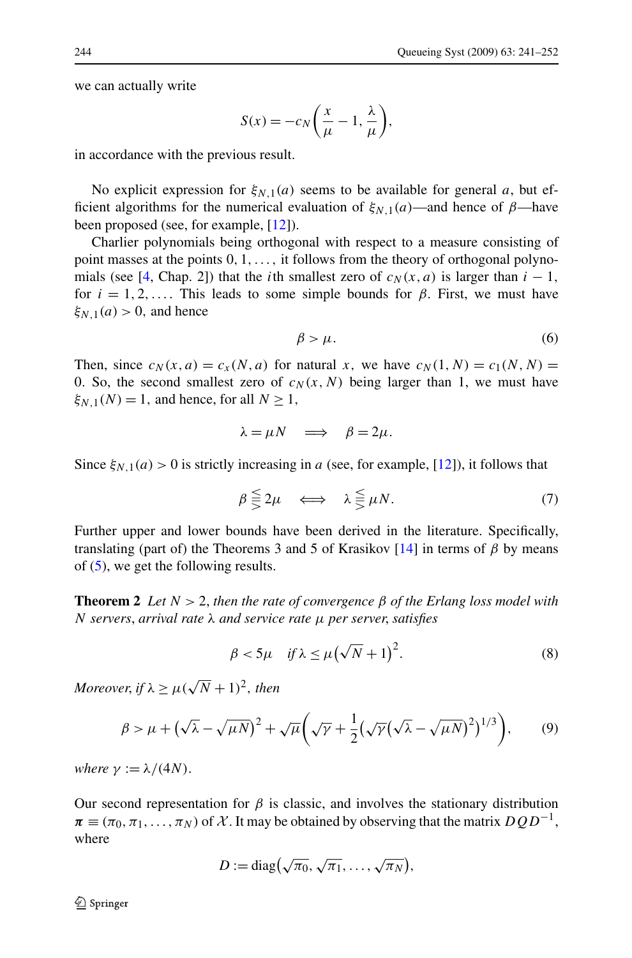<span id="page-3-0"></span>we can actually write

$$
S(x) = -c_N \left(\frac{x}{\mu} - 1, \frac{\lambda}{\mu}\right),
$$

in accordance with the previous result.

No explicit expression for  $\xi_{N,1}(a)$  seems to be available for general a, but efficient algorithms for the numerical evaluation of  $\xi_{N,1}(a)$ —and hence of  $\beta$ —have been proposed (see, for example, [\[12](#page-11-0)]).

Charlier polynomials being orthogonal with respect to a measure consisting of point masses at the points 0*,* 1*,...,* it follows from the theory of orthogonal polyno-mials (see [\[4](#page-11-0), Chap. 2]) that the *i*th smallest zero of  $c_N(x, a)$  is larger than  $i - 1$ , for  $i = 1, 2, \ldots$  This leads to some simple bounds for  $\beta$ . First, we must have  $\xi_{N,1}(a) > 0$ , and hence

$$
\beta > \mu. \tag{6}
$$

Then, since  $c_N(x, a) = c_X(N, a)$  for natural x, we have  $c_N(1, N) = c_1(N, N)$ 0. So, the second smallest zero of  $c_N(x, N)$  being larger than 1, we must have  $\xi_{N,1}(N) = 1$ , and hence, for all  $N \geq 1$ ,

$$
\lambda = \mu N \quad \Longrightarrow \quad \beta = 2\mu.
$$

Since  $\xi_{N,1}(a) > 0$  is strictly increasing in *a* (see, for example, [\[12](#page-11-0)]), it follows that

$$
\beta \lesseqqgtr 2\mu \iff \lambda \lesseqqgtr \mu N. \tag{7}
$$

Further upper and lower bounds have been derived in the literature. Specifically, translating (part of) the Theorems 3 and 5 of Krasikov [[14\]](#page-11-0) in terms of *β* by means of ([5\)](#page-2-0), we get the following results.

**Theorem 2** *Let N >* 2, *then the rate of convergence β of the Erlang loss model with N servers*, *arrival rate λ and service rate μ per server*, *satisfies*

$$
\beta < 5\mu \quad \text{if } \lambda \le \mu \left(\sqrt{N} + 1\right)^2. \tag{8}
$$

*Moreover, if*  $\lambda > \mu(\sqrt{N} + 1)^2$ *, then* 

$$
\beta > \mu + \left(\sqrt{\lambda} - \sqrt{\mu N}\right)^2 + \sqrt{\mu} \left(\sqrt{\gamma} + \frac{1}{2} \left(\sqrt{\gamma} \left(\sqrt{\lambda} - \sqrt{\mu N}\right)^2\right)^{1/3}\right),\tag{9}
$$

*where*  $\gamma := \lambda/(4N)$ .

Our second representation for  $\beta$  is classic, and involves the stationary distribution  $\pi \equiv (\pi_0, \pi_1, \ldots, \pi_N)$  of X. It may be obtained by observing that the matrix  $DQD^{-1}$ , where

$$
D:=\mathrm{diag}\big(\sqrt{\pi_0},\sqrt{\pi_1},\ldots,\sqrt{\pi_N}\big),\,
$$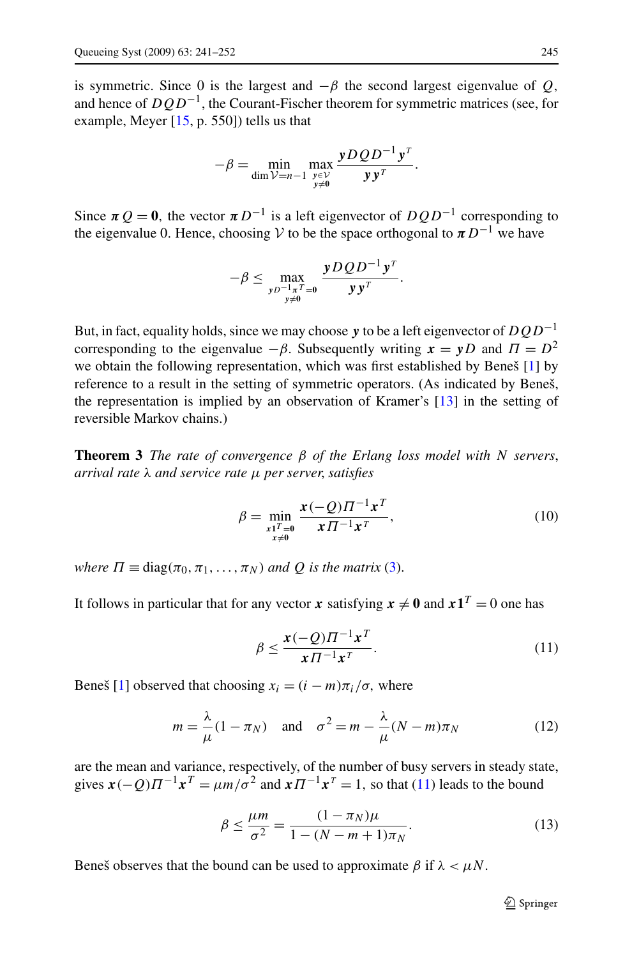<span id="page-4-0"></span>is symmetric. Since 0 is the largest and  $-\beta$  the second largest eigenvalue of *Q*, and hence of *DQD*<sup>−</sup>1, the Courant-Fischer theorem for symmetric matrices (see, for example, Meyer  $[15, p, 550]$  $[15, p, 550]$  tells us that

$$
-\beta = \min_{\dim \mathcal{V}=n-1} \max_{\substack{y \in \mathcal{V} \\ y \neq 0}} \frac{yDQD^{-1}y^T}{yy^T}.
$$

Since  $\pi Q = 0$ , the vector  $\pi D^{-1}$  is a left eigenvector of  $DQD^{-1}$  corresponding to the eigenvalue 0. Hence, choosing V to be the space orthogonal to  $\pi D^{-1}$  we have

$$
-\beta \leq \max_{\substack{yD^{-1}\pi^T=0\\y\neq 0}}\frac{yDQD^{-1}y^T}{yy^T}.
$$

But, in fact, equality holds, since we may choose *y* to be a left eigenvector of *DQD*−<sup>1</sup> corresponding to the eigenvalue  $-\beta$ . Subsequently writing  $x = yD$  and  $\Pi = D^2$ we obtain the following representation, which was first established by Beneš [\[1](#page-11-0)] by reference to a result in the setting of symmetric operators. (As indicated by Beneš, the representation is implied by an observation of Kramer's [\[13](#page-11-0)] in the setting of reversible Markov chains.)

**Theorem 3** *The rate of convergence β of the Erlang loss model with N servers*, *arrival rate λ and service rate μ per server*, *satisfies*

$$
\beta = \min_{\substack{x_1^T = 0 \\ x \neq 0}} \frac{x(-Q) \Pi^{-1} x^T}{x \Pi^{-1} x^T},
$$
\n(10)

*where*  $\Pi \equiv \text{diag}(\pi_0, \pi_1, \dots, \pi_N)$  *and Q is the matrix* ([3\)](#page-2-0).

It follows in particular that for any vector *x* satisfying  $x \neq 0$  and  $x1^T = 0$  one has

$$
\beta \le \frac{x(-Q)\Pi^{-1}x^T}{x\Pi^{-1}x^T}.
$$
\n(11)

Beneš [[1\]](#page-11-0) observed that choosing  $x_i = (i - m)\pi_i/\sigma$ , where

$$
m = \frac{\lambda}{\mu} (1 - \pi_N) \quad \text{and} \quad \sigma^2 = m - \frac{\lambda}{\mu} (N - m) \pi_N \tag{12}
$$

are the mean and variance, respectively, of the number of busy servers in steady state, gives  $\mathbf{x}(-Q) \Pi^{-1} \mathbf{x}^T = \mu m/\sigma^2$  and  $\mathbf{x} \Pi^{-1} \mathbf{x}^T = 1$ , so that (11) leads to the bound

$$
\beta \le \frac{\mu m}{\sigma^2} = \frac{(1 - \pi_N)\mu}{1 - (N - m + 1)\pi_N}.
$$
\n(13)

Beneš observes that the bound can be used to approximate  $\beta$  if  $\lambda < \mu N$ .

 $\bigcirc$  Springer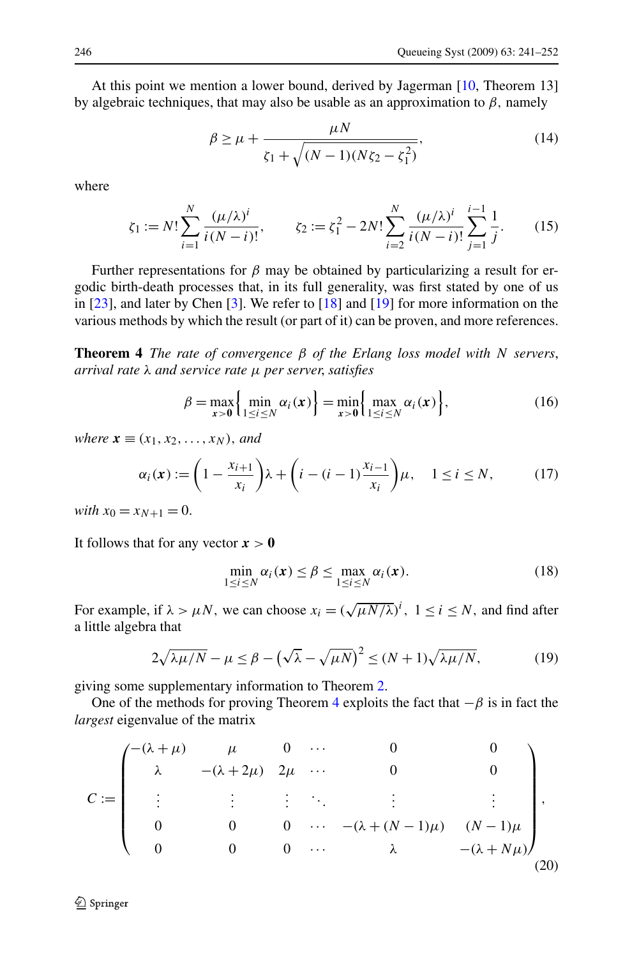<span id="page-5-0"></span>At this point we mention a lower bound, derived by Jagerman [[10,](#page-11-0) Theorem 13] by algebraic techniques, that may also be usable as an approximation to *β,* namely

$$
\beta \ge \mu + \frac{\mu N}{\zeta_1 + \sqrt{(N-1)(N\zeta_2 - \zeta_1^2)}},\tag{14}
$$

where

$$
\zeta_1 := N! \sum_{i=1}^N \frac{(\mu/\lambda)^i}{i(N-i)!}, \qquad \zeta_2 := \zeta_1^2 - 2N! \sum_{i=2}^N \frac{(\mu/\lambda)^i}{i(N-i)!} \sum_{j=1}^{i-1} \frac{1}{j}.
$$
 (15)

Further representations for  $\beta$  may be obtained by particularizing a result for ergodic birth-death processes that, in its full generality, was first stated by one of us in [\[23](#page-11-0)], and later by Chen [[3\]](#page-11-0). We refer to [[18\]](#page-11-0) and [[19\]](#page-11-0) for more information on the various methods by which the result (or part of it) can be proven, and more references.

**Theorem 4** *The rate of convergence β of the Erlang loss model with N servers*, *arrival rate λ and service rate μ per server*, *satisfies*

$$
\beta = \max_{x>0} \left\{ \min_{1 \le i \le N} \alpha_i(x) \right\} = \min_{x>0} \left\{ \max_{1 \le i \le N} \alpha_i(x) \right\},
$$
 (16)

*where*  $\mathbf{x} \equiv (x_1, x_2, \ldots, x_N)$ *, and* 

$$
\alpha_i(\mathbf{x}) := \left(1 - \frac{x_{i+1}}{x_i}\right)\lambda + \left(i - (i-1)\frac{x_{i-1}}{x_i}\right)\mu, \quad 1 \le i \le N,\tag{17}
$$

*with*  $x_0 = x_{N+1} = 0$ .

It follows that for any vector  $x > 0$ 

$$
\min_{1 \le i \le N} \alpha_i(\mathbf{x}) \le \beta \le \max_{1 \le i \le N} \alpha_i(\mathbf{x}). \tag{18}
$$

For example, if  $\lambda > \mu N$ , we can choose  $x_i = (\sqrt{\mu N/\lambda})^i$ ,  $1 \le i \le N$ , and find after a little algebra that

$$
2\sqrt{\lambda\mu/N} - \mu \le \beta - \left(\sqrt{\lambda} - \sqrt{\mu N}\right)^2 \le (N+1)\sqrt{\lambda\mu/N},\tag{19}
$$

giving some supplementary information to Theorem [2](#page-3-0).

One of the methods for proving Theorem 4 exploits the fact that  $-\beta$  is in fact the *largest* eigenvalue of the matrix

$$
C := \begin{pmatrix} -(\lambda + \mu) & \mu & 0 & \cdots & 0 & 0 \\ \lambda & -(\lambda + 2\mu) & 2\mu & \cdots & 0 & 0 \\ \vdots & \vdots & \vdots & \ddots & \vdots & \vdots \\ 0 & 0 & 0 & \cdots & -(\lambda + (N-1)\mu) & (N-1)\mu \\ 0 & 0 & 0 & \cdots & \lambda & -(\lambda + N\mu) \end{pmatrix},
$$
(20)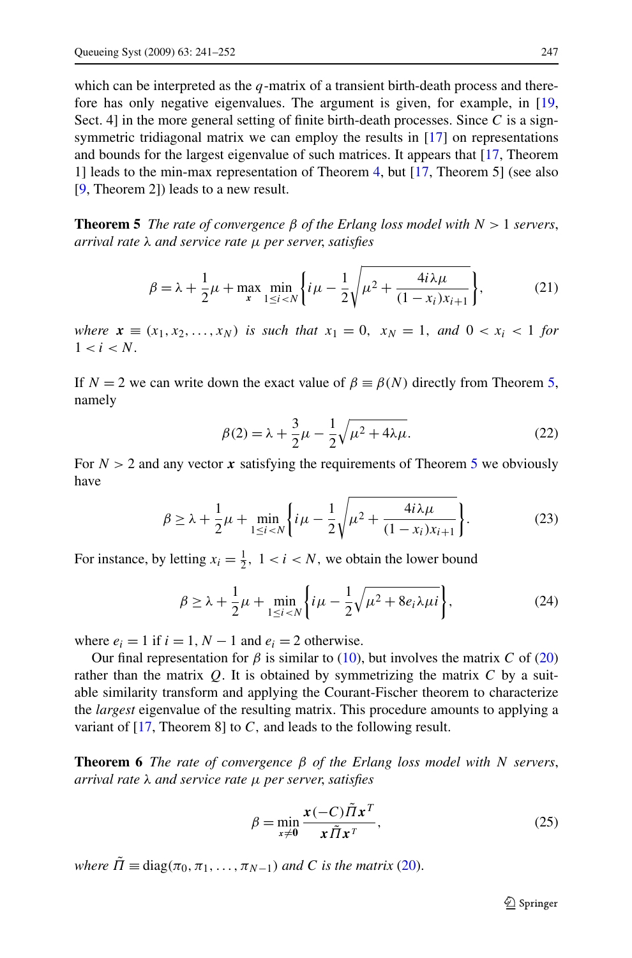which can be interpreted as the *q*-matrix of a transient birth-death process and therefore has only negative eigenvalues. The argument is given, for example, in [\[19](#page-11-0), Sect. 4] in the more general setting of finite birth-death processes. Since *C* is a sign-symmetric tridiagonal matrix we can employ the results in [\[17](#page-11-0)] on representations and bounds for the largest eigenvalue of such matrices. It appears that [\[17](#page-11-0), Theorem 1] leads to the min-max representation of Theorem [4,](#page-5-0) but [[17](#page-11-0), Theorem 5] (see also [\[9](#page-11-0), Theorem 2]) leads to a new result.

**Theorem 5** *The rate of convergence*  $\beta$  *of the Erlang loss model with*  $N > 1$  *servers*, *arrival rate λ and service rate μ per server*, *satisfies*

$$
\beta = \lambda + \frac{1}{2}\mu + \max_{x} \min_{1 \le i < N} \left\{ i\mu - \frac{1}{2} \sqrt{\mu^2 + \frac{4i\lambda\mu}{(1 - x_i)x_{i+1}}} \right\},\tag{21}
$$

*where*  $x \equiv (x_1, x_2, ..., x_N)$  *is such that*  $x_1 = 0$ ,  $x_N = 1$ , and  $0 < x_i < 1$  for  $1 < i < N$ .

If  $N = 2$  we can write down the exact value of  $\beta \equiv \beta(N)$  directly from Theorem 5, namely

$$
\beta(2) = \lambda + \frac{3}{2}\mu - \frac{1}{2}\sqrt{\mu^2 + 4\lambda\mu}.
$$
 (22)

For  $N > 2$  and any vector x satisfying the requirements of Theorem 5 we obviously have

$$
\beta \ge \lambda + \frac{1}{2}\mu + \min_{1 \le i < N} \left\{ i\mu - \frac{1}{2} \sqrt{\mu^2 + \frac{4i\lambda\mu}{(1 - x_i)x_{i+1}}} \right\}.
$$
\n(23)

For instance, by letting  $x_i = \frac{1}{2}$ ,  $1 < i < N$ , we obtain the lower bound

$$
\beta \ge \lambda + \frac{1}{2}\mu + \min_{1 \le i < N} \left\{ i\mu - \frac{1}{2}\sqrt{\mu^2 + 8e_i\lambda\mu i} \right\},\tag{24}
$$

where  $e_i = 1$  if  $i = 1, N - 1$  and  $e_i = 2$  otherwise.

Our final representation for *β* is similar to [\(10\)](#page-4-0), but involves the matrix *C* of [\(20](#page-5-0)) rather than the matrix *Q.* It is obtained by symmetrizing the matrix *C* by a suitable similarity transform and applying the Courant-Fischer theorem to characterize the *largest* eigenvalue of the resulting matrix. This procedure amounts to applying a variant of [[17,](#page-11-0) Theorem 8] to *C,* and leads to the following result.

**Theorem 6** *The rate of convergence β of the Erlang loss model with N servers*, *arrival rate λ and service rate μ per server*, *satisfies*

$$
\beta = \min_{x \neq 0} \frac{x(-C)\tilde{\Pi}x^T}{x\tilde{\Pi}x^T},
$$
\n(25)

*where*  $\overline{\Pi} \equiv \text{diag}(\pi_0, \pi_1, \dots, \pi_{N-1})$  *and C is the matrix* [\(20](#page-5-0)).

 $\bigcirc$  Springer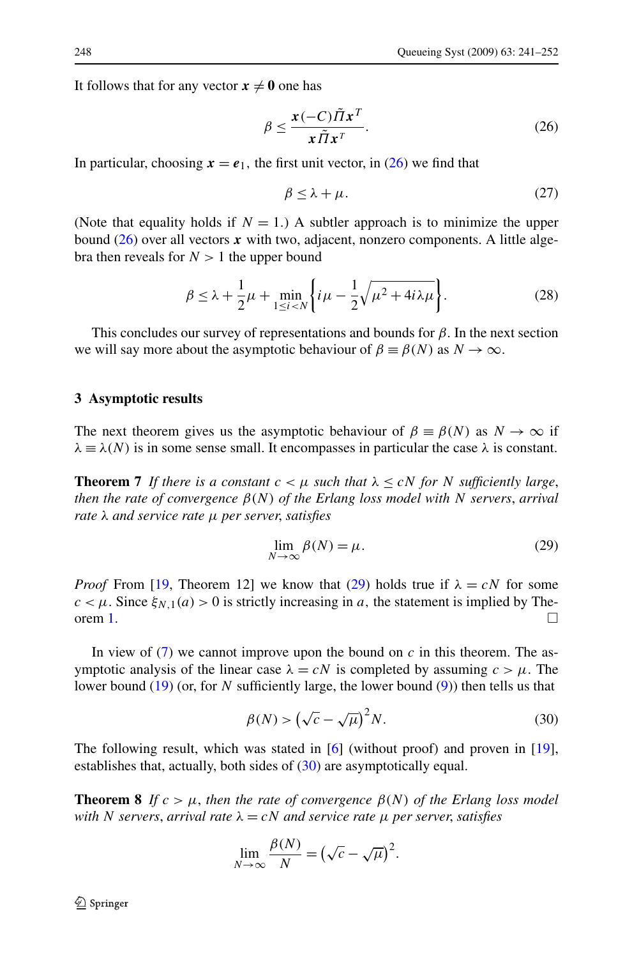<span id="page-7-0"></span>It follows that for any vector  $x \neq 0$  one has

$$
\beta \le \frac{x(-C)\tilde{\Pi}x^T}{x\tilde{\Pi}x^T}.
$$
\n(26)

In particular, choosing  $x = e_1$ , the first unit vector, in (26) we find that

$$
\beta \leq \lambda + \mu. \tag{27}
$$

(Note that equality holds if  $N = 1$ .) A subtler approach is to minimize the upper bound  $(26)$  over all vectors x with two, adjacent, nonzero components. A little algebra then reveals for  $N > 1$  the upper bound

$$
\beta \leq \lambda + \frac{1}{2}\mu + \min_{1 \leq i < N} \left\{ i\mu - \frac{1}{2}\sqrt{\mu^2 + 4i\lambda\mu} \right\}.
$$
\n(28)

This concludes our survey of representations and bounds for  $\beta$ . In the next section we will say more about the asymptotic behaviour of  $\beta \equiv \beta(N)$  as  $N \to \infty$ .

#### **3 Asymptotic results**

The next theorem gives us the asymptotic behaviour of  $\beta \equiv \beta(N)$  as  $N \to \infty$  if  $\lambda \equiv \lambda(N)$  is in some sense small. It encompasses in particular the case  $\lambda$  is constant.

**Theorem 7** If there is a constant  $c < \mu$  such that  $\lambda \leq cN$  for N sufficiently large, *then the rate of convergence β(N) of the Erlang loss model with N servers*, *arrival rate λ and service rate μ per server*, *satisfies*

$$
\lim_{N \to \infty} \beta(N) = \mu. \tag{29}
$$

*Proof* From [[19,](#page-11-0) Theorem 12] we know that (29) holds true if  $\lambda = cN$  for some  $c < \mu$ . Since  $\xi_{N,1}(a) > 0$  is strictly increasing in *a*, the statement is implied by The-orem [1.](#page-2-0)

In view of  $(7)$  $(7)$  we cannot improve upon the bound on *c* in this theorem. The asymptotic analysis of the linear case  $\lambda = cN$  is completed by assuming  $c > \mu$ . The lower bound [\(19](#page-5-0)) (or, for *N* sufficiently large, the lower bound ([9\)](#page-3-0)) then tells us that

$$
\beta(N) > \left(\sqrt{c} - \sqrt{\mu}\right)^2 N. \tag{30}
$$

The following result, which was stated in [[6\]](#page-11-0) (without proof) and proven in [[19\]](#page-11-0), establishes that, actually, both sides of (30) are asymptotically equal.

**Theorem 8** *If*  $c > \mu$ , *then the rate of convergence*  $\beta(N)$  *of the Erlang loss model with N servers*, *arrival rate λ* = *cN and service rate μ per server*, *satisfies*

$$
\lim_{N \to \infty} \frac{\beta(N)}{N} = \left(\sqrt{c} - \sqrt{\mu}\right)^2.
$$

 $\mathcal{D}$  Springer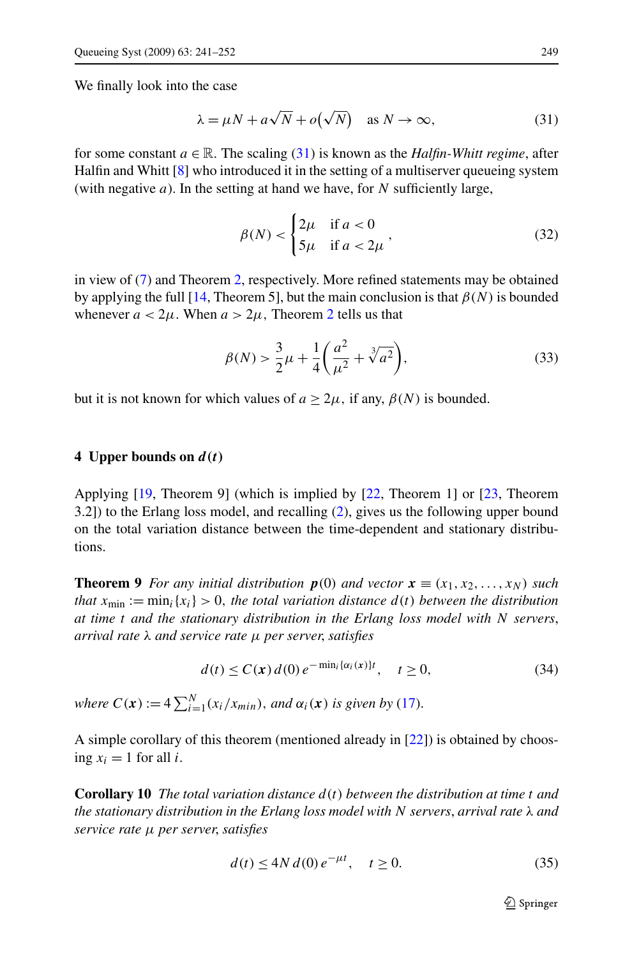<span id="page-8-0"></span>We finally look into the case

$$
\lambda = \mu N + a\sqrt{N} + o(\sqrt{N}) \quad \text{as } N \to \infty,
$$
 (31)

for some constant  $a \in \mathbb{R}$ . The scaling (31) is known as the *Halfin-Whitt regime*, after Halfin and Whitt [\[8](#page-11-0)] who introduced it in the setting of a multiserver queueing system (with negative *a*). In the setting at hand we have, for *N* sufficiently large,

$$
\beta(N) < \begin{cases} 2\mu & \text{if } a < 0 \\ 5\mu & \text{if } a < 2\mu \end{cases},\tag{32}
$$

in view of [\(7](#page-3-0)) and Theorem [2,](#page-3-0) respectively. More refined statements may be obtained by applying the full [\[14](#page-11-0), Theorem 5], but the main conclusion is that  $\beta(N)$  is bounded whenever  $a < 2\mu$  $a < 2\mu$  $a < 2\mu$ . When  $a > 2\mu$ , Theorem 2 tells us that

$$
\beta(N) > \frac{3}{2}\mu + \frac{1}{4}\left(\frac{a^2}{\mu^2} + \sqrt[3]{a^2}\right),\tag{33}
$$

but it is not known for which values of  $a \geq 2\mu$ , if any,  $\beta(N)$  is bounded.

## **4 Upper bounds on** *d(t)*

Applying [\[19](#page-11-0), Theorem 9] (which is implied by [[22,](#page-11-0) Theorem 1] or [[23,](#page-11-0) Theorem 3.2]) to the Erlang loss model, and recalling [\(2](#page-1-0)), gives us the following upper bound on the total variation distance between the time-dependent and stationary distributions.

**Theorem 9** *For any initial distribution*  $p(0)$  *and vector*  $\mathbf{x} \equiv (x_1, x_2, \ldots, x_N)$  *such that*  $x_{\min} := \min_i \{x_i\} > 0$ , the total variation distance  $d(t)$  between the distribution *at time t and the stationary distribution in the Erlang loss model with N servers*, *arrival rate λ and service rate μ per server*, *satisfies*

$$
d(t) \le C(\mathbf{x}) d(0) e^{-\min_i \{\alpha_i(\mathbf{x})\}t}, \quad t \ge 0,
$$
\n(34)

*where*  $C(\mathbf{x}) := 4 \sum_{i=1}^{N} (x_i/x_{min})$ , *and*  $\alpha_i(\mathbf{x})$  *is given by* [\(17](#page-5-0)).

A simple corollary of this theorem (mentioned already in [[22\]](#page-11-0)) is obtained by choosing  $x_i = 1$  for all *i*.

**Corollary 10** *The total variation distance*  $d(t)$  *between the distribution at time t and the stationary distribution in the Erlang loss model with N servers*, *arrival rate λ and service rate μ per server*, *satisfies*

$$
d(t) \le 4N \, d(0) \, e^{-\mu t}, \quad t \ge 0. \tag{35}
$$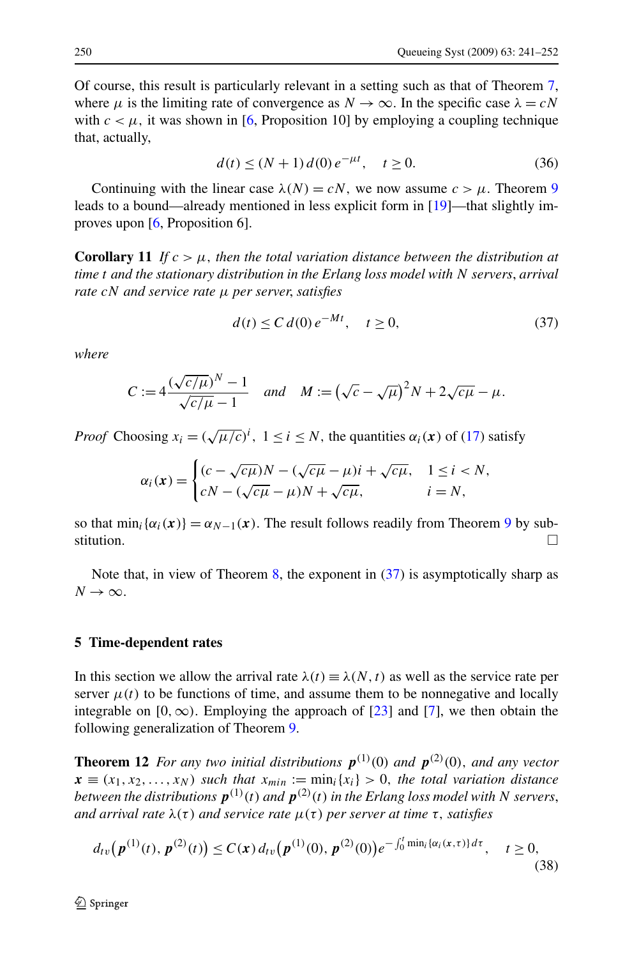<span id="page-9-0"></span>Of course, this result is particularly relevant in a setting such as that of Theorem [7](#page-7-0), where  $\mu$  is the limiting rate of convergence as  $N \to \infty$ . In the specific case  $\lambda = cN$ with  $c < \mu$ , it was shown in [[6,](#page-11-0) Proposition 10] by employing a coupling technique that, actually,

$$
d(t) \le (N+1) d(0) e^{-\mu t}, \quad t \ge 0.
$$
 (36)

Continuing with the linear case  $\lambda(N) = cN$ , we now assume  $c > \mu$ . Theorem [9](#page-8-0) leads to a bound—already mentioned in less explicit form in [\[19](#page-11-0)]—that slightly improves upon [\[6](#page-11-0), Proposition 6].

**Corollary 11** *If*  $c > \mu$ , then the total variation distance between the distribution at *time t and the stationary distribution in the Erlang loss model with N servers*, *arrival rate cN and service rate μ per server*, *satisfies*

$$
d(t) \le C d(0) e^{-Mt}, \quad t \ge 0,
$$
\n(37)

*where*

$$
C := 4\frac{(\sqrt{c/\mu})^N - 1}{\sqrt{c/\mu} - 1}
$$
 and 
$$
M := (\sqrt{c} - \sqrt{\mu})^2 N + 2\sqrt{c\mu} - \mu.
$$

*Proof* Choosing  $x_i = (\sqrt{\mu/c})^i$ ,  $1 \le i \le N$ , the quantities  $\alpha_i(\mathbf{x})$  of ([17\)](#page-5-0) satisfy

$$
\alpha_i(\mathbf{x}) = \begin{cases}\n(c - \sqrt{c\mu})N - (\sqrt{c\mu} - \mu)i + \sqrt{c\mu}, & 1 \le i < N, \\
cN - (\sqrt{c\mu} - \mu)N + \sqrt{c\mu}, & i = N,\n\end{cases}
$$

so that  $\min_i {\alpha_i(\mathbf{x})} = \alpha_{N-1}(\mathbf{x})$ . The result follows readily from Theorem [9](#page-8-0) by substitution.  $\Box$ 

Note that, in view of Theorem  $\frac{8}{10}$  $\frac{8}{10}$  $\frac{8}{10}$ , the exponent in (37) is asymptotically sharp as  $N \rightarrow \infty$ .

# **5 Time-dependent rates**

In this section we allow the arrival rate  $\lambda(t) \equiv \lambda(N, t)$  as well as the service rate per server  $\mu(t)$  to be functions of time, and assume them to be nonnegative and locally integrable on  $[0, \infty)$ . Employing the approach of  $[23]$  $[23]$  and  $[7]$  $[7]$ , we then obtain the following generalization of Theorem [9.](#page-8-0)

**Theorem 12** *For any two initial distributions*  $p^{(1)}(0)$  *and*  $p^{(2)}(0)$ *, and any vector*  $x \equiv (x_1, x_2, \ldots, x_N)$  *such that*  $x_{min} := min_i \{x_i\} > 0$ *, the total variation distance between the distributions*  $p^{(1)}(t)$  *and*  $p^{(2)}(t)$  *in the Erlang loss model with N servers, and arrival rate λ(τ) and service rate μ(τ) per server at time τ, satisfies*

$$
d_{tv}(\boldsymbol{p}^{(1)}(t), \boldsymbol{p}^{(2)}(t)) \le C(\boldsymbol{x}) d_{tv}(\boldsymbol{p}^{(1)}(0), \boldsymbol{p}^{(2)}(0)) e^{-\int_0^t \min_i \{\alpha_i(\boldsymbol{x}, \tau)\} d\tau}, \quad t \ge 0,
$$
\n(38)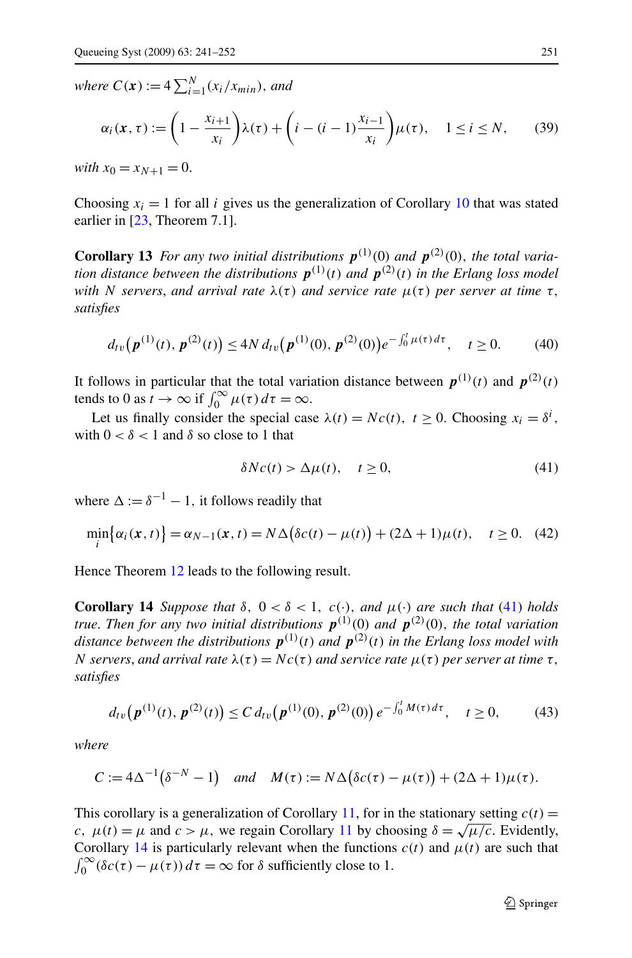*where*  $C(\mathbf{x}) := 4 \sum_{i=1}^{N} (x_i/x_{min})$ , and

$$
\alpha_i(\mathbf{x}, \tau) := \left(1 - \frac{x_{i+1}}{x_i}\right)\lambda(\tau) + \left(i - (i-1)\frac{x_{i-1}}{x_i}\right)\mu(\tau), \quad 1 \le i \le N,\tag{39}
$$

*with*  $x_0 = x_{N+1} = 0$ .

Choosing  $x_i = 1$  for all *i* gives us the generalization of Corollary [10](#page-8-0) that was stated earlier in [\[23](#page-11-0), Theorem 7.1].

**Corollary 13** *For any two initial distributions*  $p^{(1)}(0)$  *and*  $p^{(2)}(0)$ *, the total variation distance between the distributions*  $p^{(1)}(t)$  *and*  $p^{(2)}(t)$  *in the Erlang loss model with N servers, and arrival rate*  $λ(τ)$  *and service rate*  $μ(τ)$  *per server at time τ, satisfies*

$$
d_{tv}(\boldsymbol{p}^{(1)}(t), \boldsymbol{p}^{(2)}(t)) \le 4N d_{tv}(\boldsymbol{p}^{(1)}(0), \boldsymbol{p}^{(2)}(0))e^{-\int_0^t \mu(\tau) d\tau}, \quad t \ge 0. \tag{40}
$$

It follows in particular that the total variation distance between  $p^{(1)}(t)$  and  $p^{(2)}(t)$ tends to 0 as  $\hat{t} \to \infty$  if  $\int_0^\infty \mu(\tau) d\tau = \infty$ .

Let us finally consider the special case  $\lambda(t) = Nc(t)$ ,  $t \ge 0$ . Choosing  $x_i = \delta^i$ , with  $0 < \delta < 1$  and  $\delta$  so close to 1 that

$$
\delta Nc(t) > \Delta \mu(t), \quad t \ge 0,
$$
\n(41)

where  $\Delta := \delta^{-1} - 1$ , it follows readily that

$$
\min_{i} {\alpha_i(\mathbf{x},t)} = \alpha_{N-1}(\mathbf{x},t) = N\Delta(\delta c(t) - \mu(t)) + (2\Delta + 1)\mu(t), \quad t \ge 0.
$$
 (42)

Hence Theorem [12](#page-9-0) leads to the following result.

**Corollary 14** *Suppose that*  $\delta$ ,  $0 < \delta < 1$ ,  $c(\cdot)$ , *and*  $\mu(\cdot)$  *are such that* (41) *holds true*. *Then for any two initial distributions p(*1*) (*0*) and p(*2*) (*0*), the total variation* distance between the distributions  $p^{(1)}(t)$  and  $p^{(2)}(t)$  in the Erlang loss model with *N* servers, and arrival rate  $λ(τ) = Nc(τ)$  and service rate  $μ(τ)$  per server at time τ, *satisfies*

$$
d_{tv}(\boldsymbol{p}^{(1)}(t), \boldsymbol{p}^{(2)}(t)) \le C d_{tv}(\boldsymbol{p}^{(1)}(0), \boldsymbol{p}^{(2)}(0)) e^{-\int_0^t M(\tau) d\tau}, \quad t \ge 0,
$$
 (43)

*where*

$$
C := 4\Delta^{-1}(\delta^{-N} - 1) \quad \text{and} \quad M(\tau) := N\Delta(\delta c(\tau) - \mu(\tau)) + (2\Delta + 1)\mu(\tau).
$$

This corollary is a generalization of Corollary [11](#page-9-0), for in the stationary setting  $c(t)$  = *c,*  $\mu(t) = \mu$  and  $c > \mu$ , we regain Corollary [11](#page-9-0) by choosing  $\delta = \sqrt{\mu/c}$ . Evidently, Corollary 14 is particularly relevant when the functions  $c(t)$  and  $\mu(t)$  are such that  $\int_0^\infty (\delta c(\tau) - \mu(\tau)) d\tau = \infty$  for  $\delta$  sufficiently close to 1.